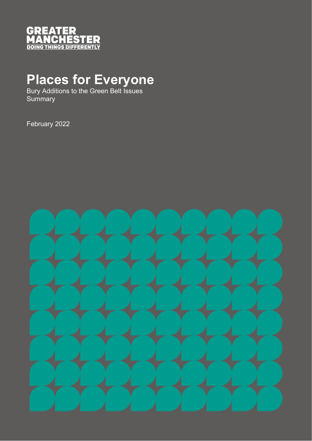

# **Places for Everyone**

Bury Additions to the Green Belt Issues **Summary** 

February 2022

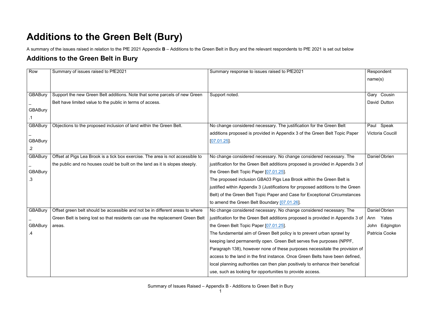## **Additions to the Green Belt (Bury)**

A summary of the issues raised in relation to the PfE 2021 Appendix **B** – Additions to the Green Belt in Bury and the relevant respondents to PfE 2021 is set out below

## **Additions to the Green Belt in Bury**

| Row            | Summary of issues raised to PfE2021                                            | Summary response to issues raised to PfE2021                                     | Respondent              |
|----------------|--------------------------------------------------------------------------------|----------------------------------------------------------------------------------|-------------------------|
|                |                                                                                |                                                                                  | name(s)                 |
|                |                                                                                |                                                                                  |                         |
| <b>GBABury</b> | Support the new Green Belt additions. Note that some parcels of new Green      | Support noted.                                                                   | Gary Cousin             |
|                | Belt have limited value to the public in terms of access.                      |                                                                                  | David Dutton            |
| <b>GBABury</b> |                                                                                |                                                                                  |                         |
|                |                                                                                |                                                                                  |                         |
| <b>GBABury</b> | Objections to the proposed inclusion of land within the Green Belt.            | No change considered necessary. The justification for the Green Belt             | Paul Speak              |
|                |                                                                                | additions proposed is provided in Appendix 3 of the Green Belt Topic Paper       | <b>Victoria Coucill</b> |
| <b>GBABury</b> |                                                                                | $[07.01.25]$ .                                                                   |                         |
| .2             |                                                                                |                                                                                  |                         |
| <b>GBABury</b> | Offset at Pigs Lea Brook is a tick box exercise. The area is not accessible to | No change considered necessary. No change considered necessary. The              | Daniel Obrien           |
|                | the public and no houses could be built on the land as it is slopes steeply.   | justification for the Green Belt additions proposed is provided in Appendix 3 of |                         |
| <b>GBABury</b> |                                                                                | the Green Belt Topic Paper [07.01.25].                                           |                         |
| .3             |                                                                                | The proposed inclusion GBA03 Pigs Lea Brook within the Green Belt is             |                         |
|                |                                                                                | justified within Appendix 3 (Justifications for proposed additions to the Green  |                         |
|                |                                                                                | Belt) of the Green Belt Topic Paper and Case for Exceptional Circumstances       |                         |
|                |                                                                                | to amend the Green Belt Boundary [07.01.26].                                     |                         |
| <b>GBABury</b> | Offset green belt should be accessible and not be in different areas to where  | No change considered necessary. No change considered necessary. The              | Daniel Obrien           |
|                | Green Belt is being lost so that residents can use the replacement Green Belt  | justification for the Green Belt additions proposed is provided in Appendix 3 of | Yates<br>Ann            |
| <b>GBABury</b> | areas.                                                                         | the Green Belt Topic Paper [07.01.25].                                           | John Edgington          |
|                |                                                                                | The fundamental aim of Green Belt policy is to prevent urban sprawl by           | Patricia Cooke          |
|                |                                                                                | keeping land permanently open. Green Belt serves five purposes (NPPF,            |                         |
|                |                                                                                | Paragraph 138), however none of these purposes necessitate the provision of      |                         |
|                |                                                                                | access to the land in the first instance. Once Green Belts have been defined,    |                         |
|                |                                                                                | local planning authorities can then plan positively to enhance their beneficial  |                         |
|                |                                                                                | use, such as looking for opportunities to provide access.                        |                         |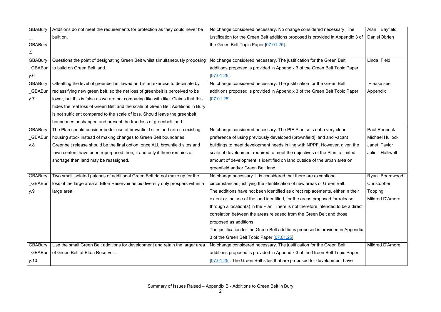| <b>GBABury</b> | Additions do not meet the requirements for protection as they could never be      | No change considered necessary. No change considered necessary. The               | Alan Bayfield          |
|----------------|-----------------------------------------------------------------------------------|-----------------------------------------------------------------------------------|------------------------|
|                | built on.                                                                         | justification for the Green Belt additions proposed is provided in Appendix 3 of  | Daniel Obrien          |
| <b>GBABury</b> |                                                                                   | the Green Belt Topic Paper [07.01.25].                                            |                        |
| 5              |                                                                                   |                                                                                   |                        |
| <b>GBABury</b> | Questions the point of designating Green Belt whilst simultaneously proposing     | No change considered necessary. The justification for the Green Belt              | Linda Field            |
| <b>GBABur</b>  | to build on Green Belt land.                                                      | additions proposed is provided in Appendix 3 of the Green Belt Topic Paper        |                        |
| y.6            |                                                                                   | $[07.01.25]$ .                                                                    |                        |
| <b>GBABury</b> | Offsetting the level of greenbelt is flawed and is an exercise to decimate by     | No change considered necessary. The justification for the Green Belt              | Please see             |
| <b>GBABur</b>  | reclassifying new green belt, so the net loss of greenbelt is perceived to be     | additions proposed is provided in Appendix 3 of the Green Belt Topic Paper        | Appendix               |
| y.7            | lower, but this is false as we are not comparing like with like. Claims that this | [07.01.25]                                                                        |                        |
|                | hides the real loss of Green Belt and the scale of Green Belt Additions in Bury   |                                                                                   |                        |
|                | is not sufficient compared to the scale of loss. Should leave the greenbelt       |                                                                                   |                        |
|                | boundaries unchanged and present the true loss of greenbelt land.                 |                                                                                   |                        |
| <b>GBABury</b> | The Plan should consider better use of brownfield sites and refresh existing      | No change considered necessary. The PfE Plan sets out a very clear                | <b>Paul Roebuck</b>    |
| <b>GBABur</b>  | housing stock instead of making changes to Green Belt boundaries.                 | preference of using previously developed (brownfield) land and vacant             | <b>Michael Hullock</b> |
| y.8            | Greenbelt release should be the final option, once ALL brownfield sites and       | buildings to meet development needs in line with NPPF. However, given the         | Janet Taylor           |
|                | town centers have been repurposed then, if and only if there remains a            | scale of development required to meet the objectives of the Plan, a limited       | Julie Halliwell        |
|                | shortage then land may be reassigned.                                             | amount of development is identified on land outside of the urban area on          |                        |
|                |                                                                                   | greenfield and/or Green Belt land.                                                |                        |
| <b>GBABury</b> | Two small isolated patches of additional Green Belt do not make up for the        | No change necessary. It is considered that there are exceptional                  | Ryan Beardwood         |
| <b>GBABur</b>  | loss of the large area at Elton Reservoir as biodiversity only prospers within a  | circumstances justifying the identification of new areas of Green Belt.           | Christopher            |
| y.9            | large area.                                                                       | The additions have not been identified as direct replacements, either in their    | Topping                |
|                |                                                                                   | extent or the use of the land identified, for the areas proposed for release      | <b>Mildred D'Amore</b> |
|                |                                                                                   | through allocation(s) in the Plan. There is not therefore intended to be a direct |                        |
|                |                                                                                   | correlation between the areas released from the Green Belt and those              |                        |
|                |                                                                                   | proposed as additions.                                                            |                        |
|                |                                                                                   | The justification for the Green Belt additions proposed is provided in Appendix   |                        |
|                |                                                                                   | 3 of the Green Belt Topic Paper [07.01.25].                                       |                        |
| <b>GBABury</b> | Use the small Green Belt additions for development and retain the larger area     | No change considered necessary. The justification for the Green Belt              | <b>Mildred D'Amore</b> |
| <b>GBABur</b>  | of Green Belt at Elton Reservoir.                                                 | additions proposed is provided in Appendix 3 of the Green Belt Topic Paper        |                        |
| y.10           |                                                                                   | [07.01.25]. The Green Belt sites that are proposed for development have           |                        |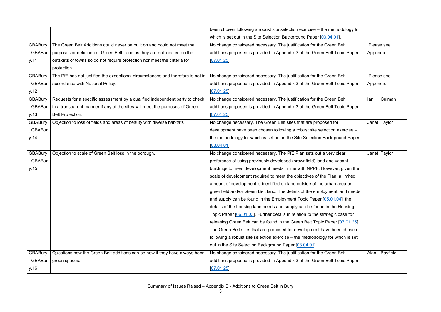|                |                                                                                 | been chosen following a robust site selection exercise - the methodology for  |                  |
|----------------|---------------------------------------------------------------------------------|-------------------------------------------------------------------------------|------------------|
|                |                                                                                 | which is set out in the Site Selection Background Paper [03.04.01].           |                  |
| <b>GBABury</b> | The Green Belt Additions could never be built on and could not meet the         | No change considered necessary. The justification for the Green Belt          | Please see       |
| <b>GBABur</b>  | purposes or definition of Green Belt Land as they are not located on the        | additions proposed is provided in Appendix 3 of the Green Belt Topic Paper    | Appendix         |
| y.11           | outskirts of towns so do not require protection nor meet the criteria for       | $[07.01.25]$ .                                                                |                  |
|                | protection.                                                                     |                                                                               |                  |
| <b>GBABury</b> | The PfE has not justified the exceptional circumstances and therefore is not in | No change considered necessary. The justification for the Green Belt          | Please see       |
| <b>GBABur</b>  | accordance with National Policy.                                                | additions proposed is provided in Appendix 3 of the Green Belt Topic Paper    | Appendix         |
| y.12           |                                                                                 | $[07.01.25]$ .                                                                |                  |
| <b>GBABury</b> | Requests for a specific assessment by a qualified independent party to check    | No change considered necessary. The justification for the Green Belt          | Culman<br>lan    |
| <b>GBABur</b>  | in a transparent manner if any of the sites will meet the purposes of Green     | additions proposed is provided in Appendix 3 of the Green Belt Topic Paper    |                  |
| y.13           | <b>Belt Protection.</b>                                                         | $[07.01.25]$ .                                                                |                  |
| <b>GBABury</b> | Objection to loss of fields and areas of beauty with diverse habitats           | No change necessary. The Green Belt sites that are proposed for               | Janet Taylor     |
| <b>GBABur</b>  |                                                                                 | development have been chosen following a robust site selection exercise -     |                  |
| y.14           |                                                                                 | the methodology for which is set out in the Site Selection Background Paper   |                  |
|                |                                                                                 | $[03.04.01]$ .                                                                |                  |
| <b>GBABury</b> | Objection to scale of Green Belt loss in the borough.                           | No change considered necessary. The PfE Plan sets out a very clear            | Janet Taylor     |
| <b>GBABur</b>  |                                                                                 | preference of using previously developed (brownfield) land and vacant         |                  |
| y.15           |                                                                                 | buildings to meet development needs in line with NPPF. However, given the     |                  |
|                |                                                                                 | scale of development required to meet the objectives of the Plan, a limited   |                  |
|                |                                                                                 | amount of development is identified on land outside of the urban area on      |                  |
|                |                                                                                 | greenfield and/or Green Belt land. The details of the employment land needs   |                  |
|                |                                                                                 | and supply can be found in the Employment Topic Paper [05.01.04], the         |                  |
|                |                                                                                 | details of the housing land needs and supply can be found in the Housing      |                  |
|                |                                                                                 | Topic Paper [06.01.03]. Further details in relation to the strategic case for |                  |
|                |                                                                                 | releasing Green Belt can be found in the Green Belt Topic Paper [07.01.25]    |                  |
|                |                                                                                 | The Green Belt sites that are proposed for development have been chosen       |                  |
|                |                                                                                 | following a robust site selection exercise – the methodology for which is set |                  |
|                |                                                                                 | out in the Site Selection Background Paper [03.04.01].                        |                  |
| <b>GBABury</b> | Questions how the Green Belt additions can be new if they have always been      | No change considered necessary. The justification for the Green Belt          | Bayfield<br>Alan |
| <b>GBABur</b>  | green spaces.                                                                   | additions proposed is provided in Appendix 3 of the Green Belt Topic Paper    |                  |
| y.16           |                                                                                 | [07.01.25]                                                                    |                  |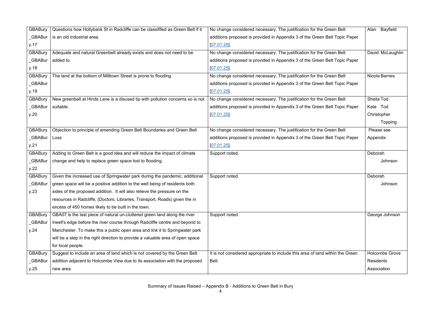| <b>GBABury</b> | Questions how Hollybank St in Radcliffe can be classififed as Green Belt if it | No change considered necessary. The justification for the Green Belt           | Alan Bayfield         |
|----------------|--------------------------------------------------------------------------------|--------------------------------------------------------------------------------|-----------------------|
| _GBABur        | is an old industrial area.                                                     | additions proposed is provided in Appendix 3 of the Green Belt Topic Paper     |                       |
| y.17           |                                                                                | $[07.01.25]$ .                                                                 |                       |
| <b>GBABury</b> | Adequate and natural Greenbelt already exists and does not need to be          | No change considered necessary. The justification for the Green Belt           | David McLaughlin      |
| <b>GBABur</b>  | added to.                                                                      | additions proposed is provided in Appendix 3 of the Green Belt Topic Paper     |                       |
| y.18           |                                                                                | $[07.01.25]$ .                                                                 |                       |
| <b>GBABury</b> | The land at the bottom of Milltown Street is prone to flooding.                | No change considered necessary. The justification for the Green Belt           | Nicola Barnes         |
| _GBABur        |                                                                                | additions proposed is provided in Appendix 3 of the Green Belt Topic Paper     |                       |
| y.19           |                                                                                | [07.01.25]                                                                     |                       |
| <b>GBABury</b> | New greenbelt at Hinds Lane is a disused tip with pollution concerns so is not | No change considered necessary. The justification for the Green Belt           | Sheila Tod            |
| _GBABur        | suitable.                                                                      | additions proposed is provided in Appendix 3 of the Green Belt Topic Paper     | Kate Tod              |
| y.20           |                                                                                | [07.01.25]                                                                     | Christopher           |
|                |                                                                                |                                                                                | <b>Topping</b>        |
| <b>GBABury</b> | Objection to principle of amending Green Belt Boundaries and Green Belt        | No change considered necessary. The justification for the Green Belt           | Please see            |
| _GBABur        | Loss                                                                           | additions proposed is provided in Appendix 3 of the Green Belt Topic Paper     | Appendix              |
| y.21           |                                                                                | $[07.01.25]$ .                                                                 |                       |
| <b>GBABury</b> | Adding to Green Belt is a good idea and will reduce the impact of climate      | Support noted.                                                                 | Deborah               |
| <b>GBABur</b>  | change and help to replace green space lost to flooding.                       |                                                                                | Johnson               |
| y.22           |                                                                                |                                                                                |                       |
| <b>GBABury</b> | Given the increased use of Springwater park during the pandemic, additional    | Support noted.                                                                 | Deborah               |
| <b>GBABur</b>  | green space will be a positive addition to the well being of residents both    |                                                                                | Johnson               |
| y.23           | sides of the proposed addition. It will also relieve the pressure on the       |                                                                                |                       |
|                | resources in Radcliffe, (Doctors, Libraries, Transport, Roads) given the in    |                                                                                |                       |
|                | excess of 450 homes likely to be built in the town.                            |                                                                                |                       |
| <b>GBABury</b> | GBA07 is the last piece of natural un-cluttered green land along the river     | Support noted.                                                                 | George Johnson        |
| _GBABur        | Irwell's edge before the river course through Radcliffe centre and beyond to   |                                                                                |                       |
| y.24           | Manchester. To make this a public open area and link it to Springwater park    |                                                                                |                       |
|                | will be a step in the right direction to provide a valuable area of open space |                                                                                |                       |
|                | for local people.                                                              |                                                                                |                       |
| <b>GBABury</b> | Suggest to include an area of land which is not covered by the Green Belt      | It is not considered appropriate to include this area of land within the Green | <b>Holcombe Grove</b> |
| _GBABur        | addition adjacent to Holcombe View due to its association with the proposed    | Belt.                                                                          | <b>Residents</b>      |
|                |                                                                                |                                                                                |                       |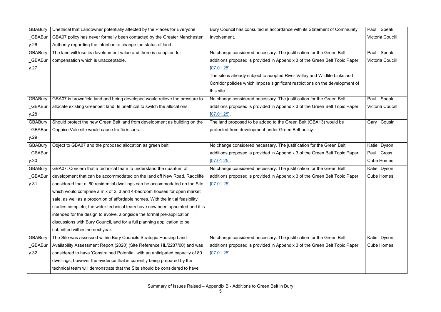| <b>GBABury</b> | Unethical that Landowner potentially affected by the Places for Everyone        | Bury Council has consulted in accordance with its Statement of Community      | Paul Speak              |
|----------------|---------------------------------------------------------------------------------|-------------------------------------------------------------------------------|-------------------------|
| <b>GBABur</b>  | GBA07 policy has never formally been contacted by the Greater Manchester        | Involvement.                                                                  | <b>Victoria Coucill</b> |
| y.26           | Authority regarding the intention to change the status of land.                 |                                                                               |                         |
| <b>GBABury</b> | The land will lose its development value and there is no option for             | No change considered necessary. The justification for the Green Belt          | Paul Speak              |
| <b>GBABur</b>  | compensation which is unacceptable.                                             | additions proposed is provided in Appendix 3 of the Green Belt Topic Paper    | <b>Victoria Coucill</b> |
| y.27           |                                                                                 | $[07.01.25]$ .                                                                |                         |
|                |                                                                                 | The site is already subject to adopted River Valley and Wildlife Links and    |                         |
|                |                                                                                 | Corridor policies which impose significant restrictions on the development of |                         |
|                |                                                                                 | this site.                                                                    |                         |
| <b>GBABury</b> | GBA07 is brownfield land and being developed would relieve the pressure to      | No change considered necessary. The justification for the Green Belt          | Paul Speak              |
| <b>GBABur</b>  | allocate existing Greenbelt land. Is unethical to switch the allocations.       | additions proposed is provided in Appendix 3 of the Green Belt Topic Paper    | <b>Victoria Coucill</b> |
| y.28           |                                                                                 | [07.01.25]                                                                    |                         |
| <b>GBABury</b> | Should protect the new Green Belt land from development as building on the      | The land proposed to be added to the Green Belt (GBA13) would be              | Gary Cousin             |
| <b>GBABur</b>  | Coppice Vale site would cause traffic issues.                                   | protected from development under Green Belt policy.                           |                         |
| y.29           |                                                                                 |                                                                               |                         |
| <b>GBABury</b> | Object to GBA07 and the proposed allocation as green belt.                      | No change considered necessary. The justification for the Green Belt          | Katie Dyson             |
| _GBABur        |                                                                                 | additions proposed is provided in Appendix 3 of the Green Belt Topic Paper    | Paul Cross              |
| y.30           |                                                                                 | $[07.01.25]$ .                                                                | <b>Cube Homes</b>       |
| <b>GBABury</b> | GBA07: Concern that a technical team to understand the quantum of               | No change considered necessary. The justification for the Green Belt          | Katie Dyson             |
| <b>GBABur</b>  | development that can be accommodated on the land off New Road, Radcliffe        | additions proposed is provided in Appendix 3 of the Green Belt Topic Paper    | <b>Cube Homes</b>       |
| y.31           | considered that c. 60 residential dwellings can be accommodated on the Site     | [07.01.25]                                                                    |                         |
|                | which would comprise a mix of 2, 3 and 4-bedroom houses for open market         |                                                                               |                         |
|                | sale, as well as a proportion of affordable homes. With the initial feasibility |                                                                               |                         |
|                | studies complete, the wider technical team have now been appointed and it is    |                                                                               |                         |
|                | intended for the design to evolve, alongside the formal pre-application         |                                                                               |                         |
|                | discussions with Bury Council, and for a full planning application to be        |                                                                               |                         |
|                | submitted within the next year.                                                 |                                                                               |                         |
| <b>GBABury</b> | The Site was assessed within Bury Councils Strategic Housing Land               | No change considered necessary. The justification for the Green Belt          | Katie Dyson             |
| _GBABur        | Availability Assessment Report (2020) (Site Reference HL/2287/00) and was       | additions proposed is provided in Appendix 3 of the Green Belt Topic Paper    | <b>Cube Homes</b>       |
| y.32           | considered to have 'Constrained Potential' with an anticipated capacity of 80   | $[07.01.25]$ .                                                                |                         |
|                | dwellings; however the evidence that is currently being prepared by the         |                                                                               |                         |
|                | technical team will demonstrate that the Site should be considered to have      |                                                                               |                         |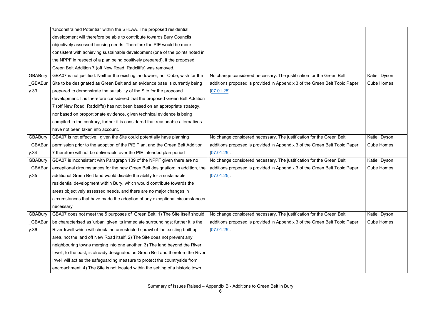|                | 'Unconstrained Potential' within the SHLAA. The proposed residential             |                                                                            |                   |
|----------------|----------------------------------------------------------------------------------|----------------------------------------------------------------------------|-------------------|
|                | development will therefore be able to contribute towards Bury Councils           |                                                                            |                   |
|                | objectively assessed housing needs. Therefore the PfE would be more              |                                                                            |                   |
|                | consistent with achieving sustainable development (one of the points noted in    |                                                                            |                   |
|                | the NPPF in respect of a plan being positively prepared), if the proposed        |                                                                            |                   |
|                | Green Belt Addition 7 (off New Road, Radcliffe) was removed.                     |                                                                            |                   |
| <b>GBABury</b> | GBA07 is not justified: Neither the existing landowner, nor Cube, wish for the   | No change considered necessary. The justification for the Green Belt       | Katie Dyson       |
| <b>GBABur</b>  | Site to be designated as Green Belt and an evidence base is currently being      | additions proposed is provided in Appendix 3 of the Green Belt Topic Paper | <b>Cube Homes</b> |
| y.33           | prepared to demonstrate the suitability of the Site for the proposed             | $[07.01.25]$ .                                                             |                   |
|                | development. It is therefore considered that the proposed Green Belt Addition    |                                                                            |                   |
|                | 7 (off New Road, Radcliffe) has not been based on an appropriate strategy,       |                                                                            |                   |
|                | nor based on proportionate evidence, given technical evidence is being           |                                                                            |                   |
|                | compiled to the contrary, further it is considered that reasonable alternatives  |                                                                            |                   |
|                | have not been taken into account.                                                |                                                                            |                   |
| <b>GBABury</b> | GBA07 is not effective: given the Site could potentially have planning           | No change considered necessary. The justification for the Green Belt       | Katie Dyson       |
| <b>GBABur</b>  | permission prior to the adoption of the PfE Plan, and the Green Belt Addition    | additions proposed is provided in Appendix 3 of the Green Belt Topic Paper | <b>Cube Homes</b> |
| y.34           | 7 therefore will not be deliverable over the PfE intended plan period            | $[07.01.25]$ .                                                             |                   |
| <b>GBABury</b> | GBA07 is inconsistent with Paragraph 139 of the NPPF given there are no          | No change considered necessary. The justification for the Green Belt       | Katie Dyson       |
| <b>GBABur</b>  | exceptional circumstances for the new Green Belt designation; in addition, the   | additions proposed is provided in Appendix 3 of the Green Belt Topic Paper | <b>Cube Homes</b> |
| y.35           | additional Green Belt land would disable the ability for a sustainable           | $[07.01.25]$ .                                                             |                   |
|                | residential development within Bury, which would contribute towards the          |                                                                            |                   |
|                | areas objectively assessed needs, and there are no major changes in              |                                                                            |                   |
|                | circumstances that have made the adoption of any exceptional circumstances       |                                                                            |                   |
|                | necessary                                                                        |                                                                            |                   |
| <b>GBABury</b> | GBA07 does not meet the 5 purposes of Green Belt; 1) The Site itself should      | No change considered necessary. The justification for the Green Belt       | Katie Dyson       |
| <b>GBABur</b>  | be characterised as 'urban' given its immediate surroundings; further it is the  | additions proposed is provided in Appendix 3 of the Green Belt Topic Paper | <b>Cube Homes</b> |
| y.36           | River Irwell which will check the unrestricted sprawl of the existing built-up   | $[07.01.25]$ .                                                             |                   |
|                | area, not the land off New Road itself. 2) The Site does not prevent any         |                                                                            |                   |
|                | neighbouring towns merging into one another. 3) The land beyond the River        |                                                                            |                   |
|                | Irwell, to the east, is already designated as Green Belt and therefore the River |                                                                            |                   |
|                | Irwell will act as the safeguarding measure to protect the countryside from      |                                                                            |                   |
|                | encroachment. 4) The Site is not located within the setting of a historic town   |                                                                            |                   |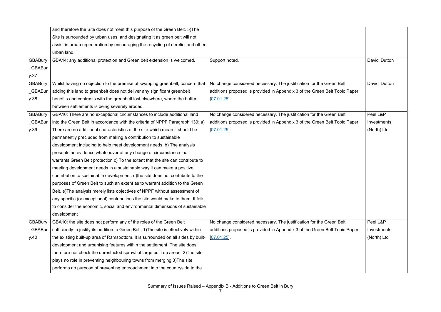|                | and therefore the Site does not meet this purpose of the Green Belt. 5) The           |                                                                            |              |
|----------------|---------------------------------------------------------------------------------------|----------------------------------------------------------------------------|--------------|
|                | Site is surrounded by urban uses, and designating it as green belt will not           |                                                                            |              |
|                | assist in urban regeneration by encouraging the recycling of derelict and other       |                                                                            |              |
|                | urban land.                                                                           |                                                                            |              |
| <b>GBABury</b> | GBA14: any additional protection and Green belt extension is welcomed.                | Support noted.                                                             | David Dutton |
| <b>GBABur</b>  |                                                                                       |                                                                            |              |
| y.37           |                                                                                       |                                                                            |              |
| <b>GBABury</b> | Whilst having no objection to the premise of swapping greenbelt, concern that         | No change considered necessary. The justification for the Green Belt       | David Dutton |
| <b>GBABur</b>  | adding this land to greenbelt does not deliver any significant greenbelt              | additions proposed is provided in Appendix 3 of the Green Belt Topic Paper |              |
| y.38           | benefits and contrasts with the greenbelt lost elsewhere, where the buffer            | $[07.01.25]$ .                                                             |              |
|                | between settlements is being severely eroded.                                         |                                                                            |              |
| <b>GBABury</b> | GBA10: There are no exceptional circumstances to include additional land              | No change considered necessary. The justification for the Green Belt       | Peel L&P     |
| <b>GBABur</b>  | into the Green Belt in accordance with the criteria of NPPF Paragraph 139: a)         | additions proposed is provided in Appendix 3 of the Green Belt Topic Paper | Investments  |
| y.39           | There are no additional characteristics of the site which mean it should be           | $[07.01.25]$ .                                                             | (North) Ltd  |
|                | permanently precluded from making a contribution to sustainable                       |                                                                            |              |
|                | development including to help meet development needs. b) The analysis                 |                                                                            |              |
|                | presents no evidence whatsoever of any change of circumstance that                    |                                                                            |              |
|                | warrants Green Belt protection c) To the extent that the site can contribute to       |                                                                            |              |
|                | meeting development needs in a sustainable way it can make a positive                 |                                                                            |              |
|                | contribution to sustainable development. d) the site does not contribute to the       |                                                                            |              |
|                | purposes of Green Belt to such an extent as to warrant addition to the Green          |                                                                            |              |
|                | Belt. e) The analysis merely lists objectives of NPPF without assessment of           |                                                                            |              |
|                | any specific (or exceptional) contributions the site would make to them. It fails     |                                                                            |              |
|                | to consider the economic, social and environmental dimensions of sustainable          |                                                                            |              |
|                | development                                                                           |                                                                            |              |
| <b>GBABury</b> | GBA10: the site does not perform any of the roles of the Green Belt                   | No change considered necessary. The justification for the Green Belt       | Peel L&P     |
| _GBABur        | sufficiently to justify its addition to Green Belt; 1) The site is effectively within | additions proposed is provided in Appendix 3 of the Green Belt Topic Paper | Investments  |
| y.40           | the existing built-up area of Ramsbottom. It is surrounded on all sides by built-     | $[07.01.25]$ .                                                             | (North) Ltd  |
|                | development and urbanising features within the settlement. The site does              |                                                                            |              |
|                | therefore not check the unrestricted sprawl of large built up areas. 2) The site      |                                                                            |              |
|                | plays no role in preventing neighbouring towns from merging 3) The site               |                                                                            |              |
|                | performs no purpose of preventing encroachment into the countryside to the            |                                                                            |              |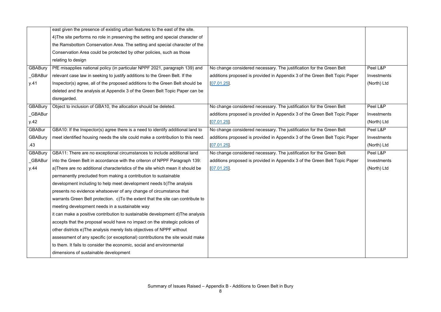| 4) The site performs no role in preserving the setting and special character of<br>the Ramsbottom Conservation Area. The setting and special character of the<br>Conservation Area could be protected by other policies, such as those<br>relating to design<br><b>GBABury</b><br>No change considered necessary. The justification for the Green Belt<br>Peel L&P<br>PfE misapplies national policy (in particular NPPF 2021, paragraph 139) and<br>_GBABur<br>relevant case law in seeking to justify additions to the Green Belt. If the<br>additions proposed is provided in Appendix 3 of the Green Belt Topic Paper<br>Investments<br>(North) Ltd<br>y.41<br>Inspector(s) agree, all of the proposed additions to the Green Belt should be<br>[07.01.25]<br>deleted and the analysis at Appendix 3 of the Green Belt Topic Paper can be<br>disregarded.<br><b>GBABury</b><br>Object to inclusion of GBA10, the allocation should be deleted.<br>No change considered necessary. The justification for the Green Belt<br>Peel L&P<br>_GBABur<br>additions proposed is provided in Appendix 3 of the Green Belt Topic Paper<br>Investments<br>y.42<br>$[07.01.25]$ .<br>(North) Ltd<br><b>GBABur</b><br>No change considered necessary. The justification for the Green Belt<br>GBA10: If the Inspector(s) agree there is a need to identify additional land to<br>Peel L&P<br><b>GBABury</b><br>meet identified housing needs the site could make a contribution to this need.<br>additions proposed is provided in Appendix 3 of the Green Belt Topic Paper<br>Investments<br>.43<br>[07.01.25]<br>(North) Ltd<br><b>GBABury</b><br>Peel L&P<br>GBA11: There are no exceptional circumstances to include additional land<br>No change considered necessary. The justification for the Green Belt<br><b>GBABur</b><br>into the Green Belt in accordance with the criteron of NPPF Paragraph 139:<br>additions proposed is provided in Appendix 3 of the Green Belt Topic Paper<br>Investments<br>a) There are no additional characteristics of the site which mean it should be<br>(North) Ltd<br>y.44<br>[07.01.25]<br>permanently precluded from making a contribution to sustainable<br>development including to help meet development needs b) The analysis<br>presents no evidence whatsoever of any change of circumstance that<br>warrants Green Belt protection. c) To the extent that the site can contribute to<br>meeting development needs in a sustainable way<br>it can make a positive contribution to sustainable development d) The analysis<br>accepts that the proposal would have no impact on the strategic policies of<br>other districts e) The analysis merely lists objectives of NPPF without<br>assessment of any specific (or exceptional) contributions the site would make<br>to them. It fails to consider the economic, social and environmental<br>dimensions of sustainable development | east given the presence of existing urban features to the east of the site. |  |
|--------------------------------------------------------------------------------------------------------------------------------------------------------------------------------------------------------------------------------------------------------------------------------------------------------------------------------------------------------------------------------------------------------------------------------------------------------------------------------------------------------------------------------------------------------------------------------------------------------------------------------------------------------------------------------------------------------------------------------------------------------------------------------------------------------------------------------------------------------------------------------------------------------------------------------------------------------------------------------------------------------------------------------------------------------------------------------------------------------------------------------------------------------------------------------------------------------------------------------------------------------------------------------------------------------------------------------------------------------------------------------------------------------------------------------------------------------------------------------------------------------------------------------------------------------------------------------------------------------------------------------------------------------------------------------------------------------------------------------------------------------------------------------------------------------------------------------------------------------------------------------------------------------------------------------------------------------------------------------------------------------------------------------------------------------------------------------------------------------------------------------------------------------------------------------------------------------------------------------------------------------------------------------------------------------------------------------------------------------------------------------------------------------------------------------------------------------------------------------------------------------------------------------------------------------------------------------------------------------------------------------------------------------------------------------------------------------------------------------------------------------------------------------------------------------------------------------------------------------------------------------------------------------------------------------|-----------------------------------------------------------------------------|--|
|                                                                                                                                                                                                                                                                                                                                                                                                                                                                                                                                                                                                                                                                                                                                                                                                                                                                                                                                                                                                                                                                                                                                                                                                                                                                                                                                                                                                                                                                                                                                                                                                                                                                                                                                                                                                                                                                                                                                                                                                                                                                                                                                                                                                                                                                                                                                                                                                                                                                                                                                                                                                                                                                                                                                                                                                                                                                                                                                |                                                                             |  |
|                                                                                                                                                                                                                                                                                                                                                                                                                                                                                                                                                                                                                                                                                                                                                                                                                                                                                                                                                                                                                                                                                                                                                                                                                                                                                                                                                                                                                                                                                                                                                                                                                                                                                                                                                                                                                                                                                                                                                                                                                                                                                                                                                                                                                                                                                                                                                                                                                                                                                                                                                                                                                                                                                                                                                                                                                                                                                                                                |                                                                             |  |
|                                                                                                                                                                                                                                                                                                                                                                                                                                                                                                                                                                                                                                                                                                                                                                                                                                                                                                                                                                                                                                                                                                                                                                                                                                                                                                                                                                                                                                                                                                                                                                                                                                                                                                                                                                                                                                                                                                                                                                                                                                                                                                                                                                                                                                                                                                                                                                                                                                                                                                                                                                                                                                                                                                                                                                                                                                                                                                                                |                                                                             |  |
|                                                                                                                                                                                                                                                                                                                                                                                                                                                                                                                                                                                                                                                                                                                                                                                                                                                                                                                                                                                                                                                                                                                                                                                                                                                                                                                                                                                                                                                                                                                                                                                                                                                                                                                                                                                                                                                                                                                                                                                                                                                                                                                                                                                                                                                                                                                                                                                                                                                                                                                                                                                                                                                                                                                                                                                                                                                                                                                                |                                                                             |  |
|                                                                                                                                                                                                                                                                                                                                                                                                                                                                                                                                                                                                                                                                                                                                                                                                                                                                                                                                                                                                                                                                                                                                                                                                                                                                                                                                                                                                                                                                                                                                                                                                                                                                                                                                                                                                                                                                                                                                                                                                                                                                                                                                                                                                                                                                                                                                                                                                                                                                                                                                                                                                                                                                                                                                                                                                                                                                                                                                |                                                                             |  |
|                                                                                                                                                                                                                                                                                                                                                                                                                                                                                                                                                                                                                                                                                                                                                                                                                                                                                                                                                                                                                                                                                                                                                                                                                                                                                                                                                                                                                                                                                                                                                                                                                                                                                                                                                                                                                                                                                                                                                                                                                                                                                                                                                                                                                                                                                                                                                                                                                                                                                                                                                                                                                                                                                                                                                                                                                                                                                                                                |                                                                             |  |
|                                                                                                                                                                                                                                                                                                                                                                                                                                                                                                                                                                                                                                                                                                                                                                                                                                                                                                                                                                                                                                                                                                                                                                                                                                                                                                                                                                                                                                                                                                                                                                                                                                                                                                                                                                                                                                                                                                                                                                                                                                                                                                                                                                                                                                                                                                                                                                                                                                                                                                                                                                                                                                                                                                                                                                                                                                                                                                                                |                                                                             |  |
|                                                                                                                                                                                                                                                                                                                                                                                                                                                                                                                                                                                                                                                                                                                                                                                                                                                                                                                                                                                                                                                                                                                                                                                                                                                                                                                                                                                                                                                                                                                                                                                                                                                                                                                                                                                                                                                                                                                                                                                                                                                                                                                                                                                                                                                                                                                                                                                                                                                                                                                                                                                                                                                                                                                                                                                                                                                                                                                                |                                                                             |  |
|                                                                                                                                                                                                                                                                                                                                                                                                                                                                                                                                                                                                                                                                                                                                                                                                                                                                                                                                                                                                                                                                                                                                                                                                                                                                                                                                                                                                                                                                                                                                                                                                                                                                                                                                                                                                                                                                                                                                                                                                                                                                                                                                                                                                                                                                                                                                                                                                                                                                                                                                                                                                                                                                                                                                                                                                                                                                                                                                |                                                                             |  |
|                                                                                                                                                                                                                                                                                                                                                                                                                                                                                                                                                                                                                                                                                                                                                                                                                                                                                                                                                                                                                                                                                                                                                                                                                                                                                                                                                                                                                                                                                                                                                                                                                                                                                                                                                                                                                                                                                                                                                                                                                                                                                                                                                                                                                                                                                                                                                                                                                                                                                                                                                                                                                                                                                                                                                                                                                                                                                                                                |                                                                             |  |
|                                                                                                                                                                                                                                                                                                                                                                                                                                                                                                                                                                                                                                                                                                                                                                                                                                                                                                                                                                                                                                                                                                                                                                                                                                                                                                                                                                                                                                                                                                                                                                                                                                                                                                                                                                                                                                                                                                                                                                                                                                                                                                                                                                                                                                                                                                                                                                                                                                                                                                                                                                                                                                                                                                                                                                                                                                                                                                                                |                                                                             |  |
|                                                                                                                                                                                                                                                                                                                                                                                                                                                                                                                                                                                                                                                                                                                                                                                                                                                                                                                                                                                                                                                                                                                                                                                                                                                                                                                                                                                                                                                                                                                                                                                                                                                                                                                                                                                                                                                                                                                                                                                                                                                                                                                                                                                                                                                                                                                                                                                                                                                                                                                                                                                                                                                                                                                                                                                                                                                                                                                                |                                                                             |  |
|                                                                                                                                                                                                                                                                                                                                                                                                                                                                                                                                                                                                                                                                                                                                                                                                                                                                                                                                                                                                                                                                                                                                                                                                                                                                                                                                                                                                                                                                                                                                                                                                                                                                                                                                                                                                                                                                                                                                                                                                                                                                                                                                                                                                                                                                                                                                                                                                                                                                                                                                                                                                                                                                                                                                                                                                                                                                                                                                |                                                                             |  |
|                                                                                                                                                                                                                                                                                                                                                                                                                                                                                                                                                                                                                                                                                                                                                                                                                                                                                                                                                                                                                                                                                                                                                                                                                                                                                                                                                                                                                                                                                                                                                                                                                                                                                                                                                                                                                                                                                                                                                                                                                                                                                                                                                                                                                                                                                                                                                                                                                                                                                                                                                                                                                                                                                                                                                                                                                                                                                                                                |                                                                             |  |
|                                                                                                                                                                                                                                                                                                                                                                                                                                                                                                                                                                                                                                                                                                                                                                                                                                                                                                                                                                                                                                                                                                                                                                                                                                                                                                                                                                                                                                                                                                                                                                                                                                                                                                                                                                                                                                                                                                                                                                                                                                                                                                                                                                                                                                                                                                                                                                                                                                                                                                                                                                                                                                                                                                                                                                                                                                                                                                                                |                                                                             |  |
|                                                                                                                                                                                                                                                                                                                                                                                                                                                                                                                                                                                                                                                                                                                                                                                                                                                                                                                                                                                                                                                                                                                                                                                                                                                                                                                                                                                                                                                                                                                                                                                                                                                                                                                                                                                                                                                                                                                                                                                                                                                                                                                                                                                                                                                                                                                                                                                                                                                                                                                                                                                                                                                                                                                                                                                                                                                                                                                                |                                                                             |  |
|                                                                                                                                                                                                                                                                                                                                                                                                                                                                                                                                                                                                                                                                                                                                                                                                                                                                                                                                                                                                                                                                                                                                                                                                                                                                                                                                                                                                                                                                                                                                                                                                                                                                                                                                                                                                                                                                                                                                                                                                                                                                                                                                                                                                                                                                                                                                                                                                                                                                                                                                                                                                                                                                                                                                                                                                                                                                                                                                |                                                                             |  |
|                                                                                                                                                                                                                                                                                                                                                                                                                                                                                                                                                                                                                                                                                                                                                                                                                                                                                                                                                                                                                                                                                                                                                                                                                                                                                                                                                                                                                                                                                                                                                                                                                                                                                                                                                                                                                                                                                                                                                                                                                                                                                                                                                                                                                                                                                                                                                                                                                                                                                                                                                                                                                                                                                                                                                                                                                                                                                                                                |                                                                             |  |
|                                                                                                                                                                                                                                                                                                                                                                                                                                                                                                                                                                                                                                                                                                                                                                                                                                                                                                                                                                                                                                                                                                                                                                                                                                                                                                                                                                                                                                                                                                                                                                                                                                                                                                                                                                                                                                                                                                                                                                                                                                                                                                                                                                                                                                                                                                                                                                                                                                                                                                                                                                                                                                                                                                                                                                                                                                                                                                                                |                                                                             |  |
|                                                                                                                                                                                                                                                                                                                                                                                                                                                                                                                                                                                                                                                                                                                                                                                                                                                                                                                                                                                                                                                                                                                                                                                                                                                                                                                                                                                                                                                                                                                                                                                                                                                                                                                                                                                                                                                                                                                                                                                                                                                                                                                                                                                                                                                                                                                                                                                                                                                                                                                                                                                                                                                                                                                                                                                                                                                                                                                                |                                                                             |  |
|                                                                                                                                                                                                                                                                                                                                                                                                                                                                                                                                                                                                                                                                                                                                                                                                                                                                                                                                                                                                                                                                                                                                                                                                                                                                                                                                                                                                                                                                                                                                                                                                                                                                                                                                                                                                                                                                                                                                                                                                                                                                                                                                                                                                                                                                                                                                                                                                                                                                                                                                                                                                                                                                                                                                                                                                                                                                                                                                |                                                                             |  |
|                                                                                                                                                                                                                                                                                                                                                                                                                                                                                                                                                                                                                                                                                                                                                                                                                                                                                                                                                                                                                                                                                                                                                                                                                                                                                                                                                                                                                                                                                                                                                                                                                                                                                                                                                                                                                                                                                                                                                                                                                                                                                                                                                                                                                                                                                                                                                                                                                                                                                                                                                                                                                                                                                                                                                                                                                                                                                                                                |                                                                             |  |
|                                                                                                                                                                                                                                                                                                                                                                                                                                                                                                                                                                                                                                                                                                                                                                                                                                                                                                                                                                                                                                                                                                                                                                                                                                                                                                                                                                                                                                                                                                                                                                                                                                                                                                                                                                                                                                                                                                                                                                                                                                                                                                                                                                                                                                                                                                                                                                                                                                                                                                                                                                                                                                                                                                                                                                                                                                                                                                                                |                                                                             |  |
|                                                                                                                                                                                                                                                                                                                                                                                                                                                                                                                                                                                                                                                                                                                                                                                                                                                                                                                                                                                                                                                                                                                                                                                                                                                                                                                                                                                                                                                                                                                                                                                                                                                                                                                                                                                                                                                                                                                                                                                                                                                                                                                                                                                                                                                                                                                                                                                                                                                                                                                                                                                                                                                                                                                                                                                                                                                                                                                                |                                                                             |  |
|                                                                                                                                                                                                                                                                                                                                                                                                                                                                                                                                                                                                                                                                                                                                                                                                                                                                                                                                                                                                                                                                                                                                                                                                                                                                                                                                                                                                                                                                                                                                                                                                                                                                                                                                                                                                                                                                                                                                                                                                                                                                                                                                                                                                                                                                                                                                                                                                                                                                                                                                                                                                                                                                                                                                                                                                                                                                                                                                |                                                                             |  |
|                                                                                                                                                                                                                                                                                                                                                                                                                                                                                                                                                                                                                                                                                                                                                                                                                                                                                                                                                                                                                                                                                                                                                                                                                                                                                                                                                                                                                                                                                                                                                                                                                                                                                                                                                                                                                                                                                                                                                                                                                                                                                                                                                                                                                                                                                                                                                                                                                                                                                                                                                                                                                                                                                                                                                                                                                                                                                                                                |                                                                             |  |
|                                                                                                                                                                                                                                                                                                                                                                                                                                                                                                                                                                                                                                                                                                                                                                                                                                                                                                                                                                                                                                                                                                                                                                                                                                                                                                                                                                                                                                                                                                                                                                                                                                                                                                                                                                                                                                                                                                                                                                                                                                                                                                                                                                                                                                                                                                                                                                                                                                                                                                                                                                                                                                                                                                                                                                                                                                                                                                                                |                                                                             |  |
|                                                                                                                                                                                                                                                                                                                                                                                                                                                                                                                                                                                                                                                                                                                                                                                                                                                                                                                                                                                                                                                                                                                                                                                                                                                                                                                                                                                                                                                                                                                                                                                                                                                                                                                                                                                                                                                                                                                                                                                                                                                                                                                                                                                                                                                                                                                                                                                                                                                                                                                                                                                                                                                                                                                                                                                                                                                                                                                                |                                                                             |  |
|                                                                                                                                                                                                                                                                                                                                                                                                                                                                                                                                                                                                                                                                                                                                                                                                                                                                                                                                                                                                                                                                                                                                                                                                                                                                                                                                                                                                                                                                                                                                                                                                                                                                                                                                                                                                                                                                                                                                                                                                                                                                                                                                                                                                                                                                                                                                                                                                                                                                                                                                                                                                                                                                                                                                                                                                                                                                                                                                |                                                                             |  |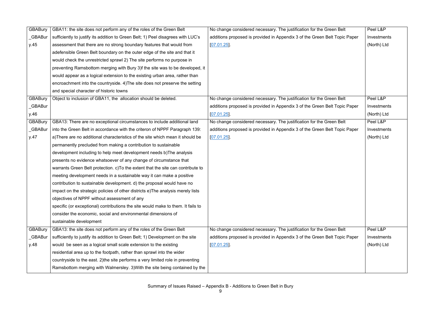| <b>GBABury</b> | GBA11: the site does not perform any of the roles of the Green Belt              | No change considered necessary. The justification for the Green Belt       | Peel L&P    |
|----------------|----------------------------------------------------------------------------------|----------------------------------------------------------------------------|-------------|
| _GBABur        | sufficiently to justify its addition to Green Belt; 1) Peel disagrees with LUC's | additions proposed is provided in Appendix 3 of the Green Belt Topic Paper | Investments |
| y.45           | assessment that there are no strong boundary features that would from            | $[07.01.25]$ .                                                             | (North) Ltd |
|                | adefensible Green Belt boundary on the outer edge of the site and that it        |                                                                            |             |
|                | would check the unrestricted sprawl 2) The site performs no purpose in           |                                                                            |             |
|                | preventing Ramsbottom merging with Bury 3)f the site was to be developed, it     |                                                                            |             |
|                | would appear as a logical extension to the existing urban area, rather than      |                                                                            |             |
|                | encroachment into the countryside. 4) The site does not preserve the setting     |                                                                            |             |
|                | and special character of historic towns                                          |                                                                            |             |
| <b>GBABury</b> | Object to inclusion of GBA11, the allocation should be deleted.                  | No change considered necessary. The justification for the Green Belt       | Peel L&P    |
| _GBABur        |                                                                                  | additions proposed is provided in Appendix 3 of the Green Belt Topic Paper | Investments |
| y.46           |                                                                                  | $[07.01.25]$ .                                                             | (North) Ltd |
| <b>GBABury</b> | GBA13: There are no exceptional circumstances to include additional land         | No change considered necessary. The justification for the Green Belt       | Peel L&P    |
| _GBABur        | into the Green Belt in accordance with the criteron of NPPF Paragraph 139:       | additions proposed is provided in Appendix 3 of the Green Belt Topic Paper | Investments |
| y.47           | a)There are no additional characteristics of the site which mean it should be    | [07.01.25]                                                                 | (North) Ltd |
|                | permanently precluded from making a contribution to sustainable                  |                                                                            |             |
|                | development including to help meet development needs b) The analysis             |                                                                            |             |
|                | presents no evidence whatsoever of any change of circumstance that               |                                                                            |             |
|                | warrants Green Belt protection. c) To the extent that the site can contribute to |                                                                            |             |
|                | meeting development needs in a sustainable way it can make a positive            |                                                                            |             |
|                | contribution to sustainable development. d) the proposal would have no           |                                                                            |             |
|                | impact on the strategic policies of other districts e) The analysis merely lists |                                                                            |             |
|                | objectives of NPPF without assessment of any                                     |                                                                            |             |
|                | specific (or exceptional) contributions the site would make to them. It fails to |                                                                            |             |
|                | consider the economic, social and environmental dimensions of                    |                                                                            |             |
|                | sustainable development                                                          |                                                                            |             |
| <b>GBABury</b> | GBA13: the site does not perform any of the roles of the Green Belt              | No change considered necessary. The justification for the Green Belt       | Peel L&P    |
| _GBABur        | sufficiently to justify its addition to Green Belt; 1) Development on the site   | additions proposed is provided in Appendix 3 of the Green Belt Topic Paper | Investments |
| y.48           | would be seen as a logical small scale extension to the existing                 | $[07.01.25]$ .                                                             | (North) Ltd |
|                | residential area up to the footpath, rather than sprawl into the wider           |                                                                            |             |
|                | countryside to the east. 2) the site performs a very limited role in preventing  |                                                                            |             |
|                | Ramsbottom merging with Walmersley. 3) With the site being contained by the      |                                                                            |             |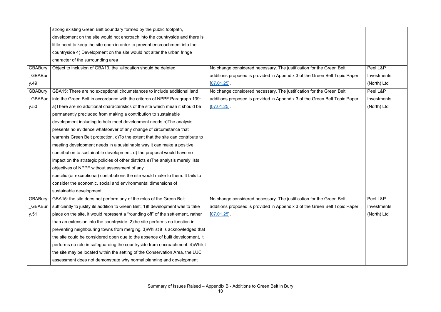|                | strong existing Green Belt boundary formed by the public footpath,                |                                                                            |             |
|----------------|-----------------------------------------------------------------------------------|----------------------------------------------------------------------------|-------------|
|                | development on the site would not encroach into the countryside and there is      |                                                                            |             |
|                | little need to keep the site open in order to prevent encroachment into the       |                                                                            |             |
|                | countryside 4) Development on the site would not alter the urban fringe           |                                                                            |             |
|                | character of the surrounding area                                                 |                                                                            |             |
| <b>GBABury</b> | Object to inclusion of GBA13, the allocation should be deleted.                   | No change considered necessary. The justification for the Green Belt       | Peel L&P    |
| <b>GBABur</b>  |                                                                                   | additions proposed is provided in Appendix 3 of the Green Belt Topic Paper | Investments |
| y.49           |                                                                                   | [07.01.25]                                                                 | (North) Ltd |
| <b>GBABury</b> | GBA15: There are no exceptional circumstances to include additional land          | No change considered necessary. The justification for the Green Belt       | Peel L&P    |
| _GBABur        | into the Green Belt in accordance with the criteron of NPPF Paragraph 139:        | additions proposed is provided in Appendix 3 of the Green Belt Topic Paper | Investments |
| y.50           | a) There are no additional characteristics of the site which mean it should be    | [07.01.25]                                                                 | (North) Ltd |
|                | permanently precluded from making a contribution to sustainable                   |                                                                            |             |
|                | development including to help meet development needs b) The analysis              |                                                                            |             |
|                | presents no evidence whatsoever of any change of circumstance that                |                                                                            |             |
|                | warrants Green Belt protection. c) To the extent that the site can contribute to  |                                                                            |             |
|                | meeting development needs in a sustainable way it can make a positive             |                                                                            |             |
|                | contribution to sustainable development. d) the proposal would have no            |                                                                            |             |
|                | impact on the strategic policies of other districts e) The analysis merely lists  |                                                                            |             |
|                | objectives of NPPF without assessment of any                                      |                                                                            |             |
|                | specific (or exceptional) contributions the site would make to them. It fails to  |                                                                            |             |
|                | consider the economic, social and environmental dimensions of                     |                                                                            |             |
|                | sustainable development                                                           |                                                                            |             |
| <b>GBABury</b> | GBA15: the site does not perform any of the roles of the Green Belt               | No change considered necessary. The justification for the Green Belt       | Peel L&P    |
| _GBABur        | sufficiently to justify its addition to Green Belt; 1) If development was to take | additions proposed is provided in Appendix 3 of the Green Belt Topic Paper | Investments |
| y.51           | place on the site, it would represent a "rounding off" of the settlement, rather  | [07.01.25]                                                                 | (North) Ltd |
|                | than an extension into the countryside. 2) the site performs no function in       |                                                                            |             |
|                | preventing neighbouring towns from merging. 3) Whilst it is acknowledged that     |                                                                            |             |
|                | the site could be considered open due to the absence of built development, it     |                                                                            |             |
|                | performs no role in safeguarding the countryside from encroachment. 4) Whilst     |                                                                            |             |
|                | the site may be located within the setting of the Conservation Area, the LUC      |                                                                            |             |
|                | assessment does not demonstrate why normal planning and development               |                                                                            |             |